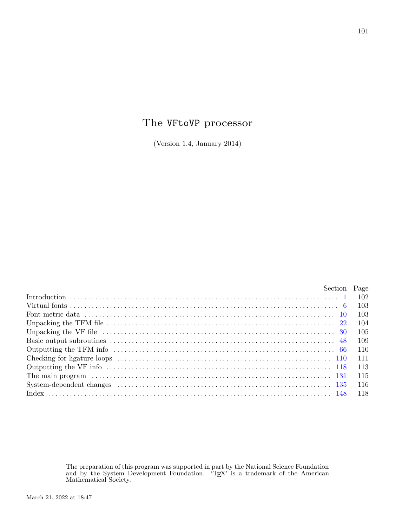# The VFtoVP processor

(Version 1.4, January 2014)

| Section Page                                                                                                                                                                                                                   |       |
|--------------------------------------------------------------------------------------------------------------------------------------------------------------------------------------------------------------------------------|-------|
|                                                                                                                                                                                                                                |       |
|                                                                                                                                                                                                                                | -103  |
|                                                                                                                                                                                                                                | -103  |
|                                                                                                                                                                                                                                | 104   |
|                                                                                                                                                                                                                                | -105  |
|                                                                                                                                                                                                                                | - 109 |
|                                                                                                                                                                                                                                | - 110 |
|                                                                                                                                                                                                                                | -111  |
|                                                                                                                                                                                                                                | -113  |
| The main program (a) and the contract of the main program (a) and the main program (b) and the main result of the main result of the main result of the main result of the main result of the main result of the main result o | -115  |
| $\text{System-dependent changes} \quad \ldots \quad \ldots \quad \ldots \quad \ldots \quad \ldots \quad \ldots \quad \ldots \quad \text{135}$                                                                                  | -116  |
|                                                                                                                                                                                                                                | -118  |

The preparation of this program was supported in part by the National Science Foundation and by the System Development Foundation. 'T<sub>E</sub>X' is a trademark of the American<br>Mathematical Society.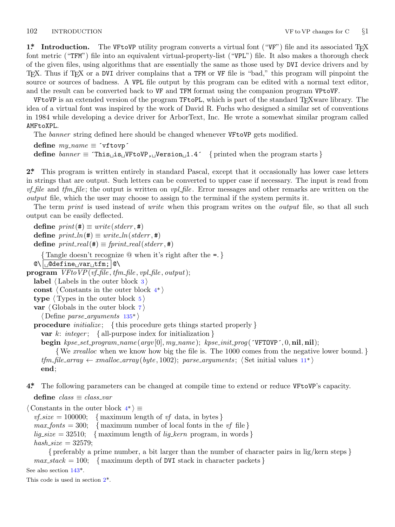<span id="page-1-0"></span>**1\* Introduction.** The VFtoVP utility program converts a virtual font ("VF") file and its associated T<sub>E</sub>X font metric ("TFM") file into an equivalent virtual-property-list ("VPL") file. It also makes a thorough check of the given files, using algorithms that are essentially the same as those used by DVI device drivers and by TEX. Thus if TEX or a DVI driver complains that a TFM or VF file is "bad," this program will pinpoint the source or sources of badness. A VPL file output by this program can be edited with a normal text editor, and the result can be converted back to VF and TFM format using the companion program VPtoVF.

VFtoVP is an extended version of the program TFtoPL, which is part of the standard T<sub>E</sub>Xware library. The idea of a virtual font was inspired by the work of David R. Fuchs who designed a similar set of conventions in 1984 while developing a device driver for ArborText, Inc. He wrote a somewhat similar program called AMFtoXPL.

The *banner* string defined here should be changed whenever VFtoVP gets modified.

 $define \, my_name \equiv 'vftovp'$ **define**  $\text{banner} \equiv \text{This} \text{is} \text{with } V \text{ is } V \text{ is } V \text{ is } V \text{ is } V \text{ is } V \text{ is } V \text{ is } V \text{ is } V \text{ is } V \text{ is } V \text{ is } V \text{ is } V \text{ is } V \text{ is } V \text{ is } V \text{ is } V \text{ is } V \text{ is } V \text{ is } V \text{ is } V \text{ is } V \text{ is } V \text{ is } V \text{ is } V \text{ is } V \text{ is } V \text{ is } V \text{ is } V \text{ is } V \text{ is } V \text{ is } V \$ 

**2\*.** This program is written entirely in standard Pascal, except that it occasionally has lower case letters in strings that are output. Such letters can be converted to upper case if necessary. The input is read from *vf file* and *tfm file* ; the output is written on *vpl file* . Error messages and other remarks are written on the *output* file, which the user may choose to assign to the terminal if the system permits it.

The term *print* is used instead of *write* when this program writes on the *output* file, so that all such output can be easily deflected.

 $\text{define } print(\texttt{\#}) \equiv write(staterr, \texttt{\#})$  $\text{define } print\_ln(\texttt{\#}) \equiv write\_ln(staterr, \texttt{\#})$  $\text{define } print\_real(\texttt{\#}) \equiv \text{fprint\_real}(\text{stderr}, \texttt{\#})$ *{* Tangle doesn't recognize @ when it's right after the =. *}*  $\mathcal{Q}\setminus\big|\cup\mathcal{Q}$ define $\cup$ var $\cup$ tfm;  $\big|\mathcal{Q}\setminus\big|$ **program** *VFtoVP*(*vf file , tfm file , vpl file , output*); **label** *⟨* Labels in the outer block 3 *⟩* **const** *⟨* Constants in the outer block 4\* *⟩* **type** *⟨* Types in the outer block 5 *⟩* **var** *⟨* Globals in the outer block 7 *⟩ ⟨* Define *parse arguments* 135\* *⟩* **procedure** *initialize* ; *{* this procedure gets things started properly *}* **var** *k*: *integer* ; *{* all-purpose index for initialization *}* **begin** *kpse set program name* (*argv* [0]*, my name* ); *kpse init prog* (´VFTOVP´*,* 0*,* **nil***,* **nil**); *{*We *xrealloc* when we know how big the file is. The 1000 comes from the negative lower bound. *}*

 $tfm$ <sub>-file</sub>  $array \leftarrow$  *xmalloc*  $array(yyte, 1002)$ ;  $parse_{arguments}$ ;  $\langle Set initial values 11*\rangle$ **end**;

**4\*.** The following parameters can be changed at compile time to extend or reduce VFtoVP's capacity.

**define** *class ≡ class var*

*⟨* Constants in the outer block 4\* *⟩ ≡*

 $v f_s is = 100000;$  $v f_s is = 100000;$  $v f_s is = 100000;$  { maximum length of *vf* data, in bytes }  $max_fonts = 300$ ; {maximum number of local fonts in the *vf* file }  $lig\_size = 32510;$  {maximum length of  $lig\_kern$  program, in words }  $hash\_size = 32579;$ 

*{* preferably a prime number, a bit larger than the number of character pairs in lig/kern steps *}*  $max\_stack = 100; \{ maximum depth of DVI stack in character packets \}$ 

See also section 143\*.

This code is used in section 2\*.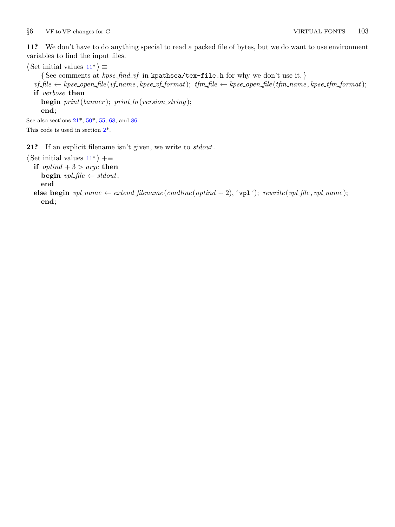<span id="page-2-0"></span>*§*6 VF to VP changes for C VIRTUAL FONTS 103

**11\*.** We don't have to do anything special to read a packed file of bytes, but we do want to use environment variables to find the input files.

```
\langle Set initial values 11^* \rangle \equiv{ See comments at kpse find vf in kpathsea/tex−file.h for why we don't use it. }
  v f-file \leftarrow kpse-open-file(vf-name, kpse-vf-format); tfm-file \leftarrow kpse-open-file(tfm-name, kpse-tfm-format);
  if verbose then
     begin print(banner ); print ln(version string );
     end;
See also sections 21*, 50*, 55, 68, and 86.
This code is used in section 2*.
```
**21\*.** If an explicit filename isn't given, we write to *stdout*.

```
⟨ Set initial values 11* ⟩ +≡
  if optind + 3 > \text{argc} then
     begin vpl\text{-file} \leftarrow stdout;end
  else begin vpl_name \leftarrow extend\_filename(cmdline(optind + 2), \text{`vpl'}); \text{ } rewrite(vpl\_file, vpl_name);end;
```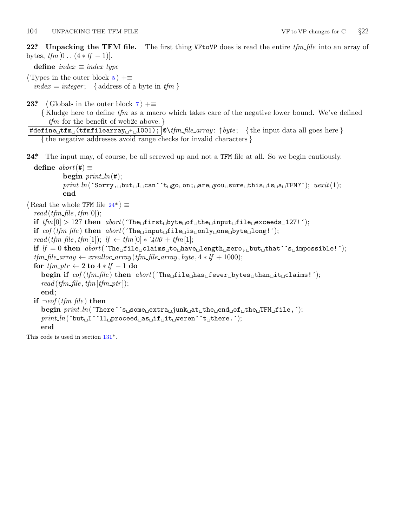<span id="page-3-0"></span>**22\*. Unpacking the TFM file.** The first thing VFtoVP does is read the entire *tfm file* into an array of bytes, *tfm*[0 *. .* (4 *∗ lf −* 1)].

**define**  $index \equiv index\_type$ 

*⟨* Types in the outer block 5 *⟩* +*≡*  $index = integer$ ; { address of a byte in  $tfm$  }

**23\***  $\langle$  Globals in the outer block  $7 \rangle + \equiv$ 

*{* Kludge here to define *tfm* as a macro which takes care of the negative lower bound. We've defined *tfm* for the benefit of web2c above. *}*

#define␣tfm␣(tfmfilearray␣+␣1001); @\*tfm file array* : *↑byte* ; *{* the input data all goes here *} {* the negative addresses avoid range checks for invalid characters *}*

**24\*.** The input may, of course, be all screwed up and not a TFM file at all. So we begin cautiously.

```
\text{define } abort(\#) \equivbegin print\_ln(#);print ln(´Sorry,␣but␣I␣can´´t␣go␣on;␣are␣you␣sure␣this␣is␣a␣TFM?´); uexit(1);
         end
```
 $\langle$  Read the whole TFM file  $24^*$   $\rangle \equiv$ 

 $read(tfm\_file, tfm[0]);$ **if**  $tfm[0] > 127$  **then**  $abort('The<sub>u</sub>first<sub>u</sub>byte<sub>u</sub>of<sub>u</sub>the<sub>u</sub>input<sub>u</sub>file<sub>u</sub>exceeds<sub>u</sub>127!');$ **if** *eof* (*tfm file* ) **then** *abort*(´The␣input␣file␣is␣only␣one␣byte␣long!´);  $read(tfm_{\text{m}} - file, tfm[1]); \text{ } \text{if } \leftarrow tfm[0] * '400 + tfm[1];$ **if** *lf* = 0 **then** *abort*(´The␣file␣claims␣to␣have␣length␣zero,␣but␣that´´s␣impossible!´);  $tfm$ <sub>-file</sub>\_ $array \leftarrow \text{} realloc$ \_ $array \left( tfm$ <sub>-file</sub>\_ $array \right), byte \leftarrow \text{} 4 * \text{ } lf + 1000);$ **for**  $tfm\_ptr \leftarrow 2$  **to**  $4 * tf - 1$  **do begin if** *eof* (*tfm file* ) **then** *abort*(´The␣file␣has␣fewer␣bytes␣than␣it␣claims!´);  $read(tfm_{\textit{m}}/tq, tfm_{\textit{m}}/tq, tfm_{\textit{m}}/tq))$  $read(tfm_{\textit{m}}/tq, tfm_{\textit{m}}/tq, tfm_{\textit{m}}/tq))$  $read(tfm_{\textit{m}}/tq, tfm_{\textit{m}}/tq, tfm_{\textit{m}}/tq))$ ; **end**; **if**  $\neg \text{eof}$  (*tfm\_file*) **then begin** *print ln*(´There´´s␣some␣extra␣junk␣at␣the␣end␣of␣the␣TFM␣file,´); *print ln*(´but␣I´´ll␣proceed␣as␣if␣it␣weren´´t␣there.´); **end**

This code is used in section 131\*.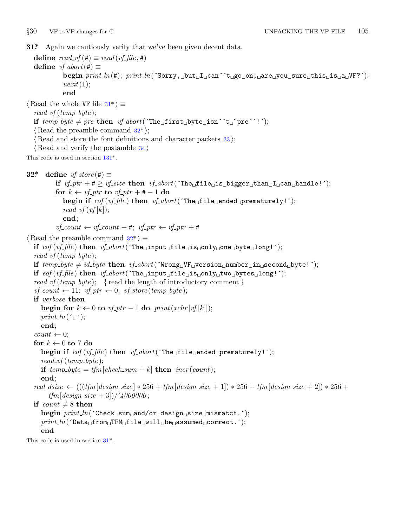```
§30 VF to VP changes for C UNPACKING THE VF FILE 105
31* Again we cautiously verify that we've been given decent data.
   define \text{read\_vf}(\textbf{\#}) \equiv \text{read}(\text{vf\_file}, \textbf{\#})\text{define } v \text{f}_\text{-} \text{abort}(\text{#}) \equivbegin print ln(#); print ln(´Sorry,␣but␣I␣can´´t␣go␣on;␣are␣you␣sure␣this␣is␣a␣VF?´);
                  uexit(1);
                  end
\langle Read the whole VF file 31^* \rangle \equivread vf (temp byte );
   if temp\_byte \neq pre then vf\_abort('The \text{if} \text{inst\_byte\_isn'`t \text{pr}e'':');⟨ Read the preamble command 32* ⟩;
    ⟨ Read and store the font definitions and character packets 33 ⟩;
    ⟨ Read and verify the postamble 34 ⟩
This code is used in section 131*.
32* define vf\_store(\#) \equivif v f_p t r + \neq v f_s ize then v f_a bort(\text{The } \text{if} \text{ile } \text{if} \text{the } \text{if} \text{the } \text{if} \text{the } \text{if} \text{the } \text{if} \text{the } \text{if} \text{the } \text{if} \text{the } \text{if} \text{the } \text{if} \text{the } \text{if} \text{the } \text{if} \text{the } \text{if} \text{the } \text{if} \text{the } \text{if} \text{the } \text{if} \text{the } \text{if} \text{thefor k \leftarrow \text{vf\_ptr} to \text{vf\_ptr} + \text{\#} - 1 do
                  begin if eof (vf file ) then vf abort(´The␣file␣ended␣prematurely!´);
                  read\_vf(vf[k]);
                 end;
              v f_{\text{-}} count \leftarrow v f_{\text{-}} count + \text{#}; \ v f_{\text{-}} p t r \leftarrow v f_{\text{-}} p t r + \text{#}⟨ Read the preamble command 32* ⟩ ≡
   if eof (vf file ) then vf abort(´The␣input␣file␣is␣only␣one␣byte␣long!´);
   read\_vf (temp\_byte);
   \textbf{if} \ \mathit{temp\_byte} \neq \mathit{id\_byte} \ \textbf{then} \ \ \mathit{vf\_abort}(\ \text{'Wrong\_VF\_version\_number\_in\_second\_byte!}\ \text{'});if eof (vf file ) then vf abort(´The␣input␣file␣is␣only␣two␣bytes␣long!´);
   read_vf (temp_byte); { read the length of introductory comment }
   vf_{\text{1}} = \{v \text{1}: v \text{1}: v \text{1}: v \text{1}: v \text{1}: v \text{1}: v \text{1}: v \text{1}: v \text{1}: v \text{1}: v \text{1}: v \text{1}: v \text{1}: v \text{1}: v \text{1}: v \text{1}: v \text{1}: v \text{1}: v \text{1}: v \text{1}: v \text{1}: v \text{1}: v \text{1}: v \text{1}: v \text{1}: v \text{1}: v \text{1}: v \text{1}: v \text{1}: v \text{1}: v \text{1}: v \text{1}: v \text{1}: v \text{1}: v \text{1}:if verbose then
       begin for k \leftarrow 0 to vf<sub>-p</sub>tr -1 do print(xchr[vf[k]]);
       print\_ln(\lceil \sqcup \rceil);end;
   count \leftarrow 0;
   for k \leftarrow 0 to 7 do
       begin if eof(vf_{\text{f}}/f_{\text{f}}/f_{\text{f}}) then v f_{\text{f}} abort(´The<sub>⊔</sub>file<sub>⊔</sub>ended<sub>∪</sub>prematurely!´);
       read\_vf (temp\_byte);
       if temp\_byte = tfm[check\_sum + k] then incr(count);end;
   real\_dsize \leftarrow (((tfm[design\_size] * 256 + tfm[design\_size + 1]) * 256 + tfm[design\_size + 2]) * 256 +tfm[design_size + 3]/\,4000000;
   if count \neq 8 then
       begin print ln(´Check␣sum␣and/or␣design␣size␣mismatch.´);
       print ln(´Data␣from␣TFM␣file␣will␣be␣assumed␣correct.´);
       end
This code is used in section 31*.
```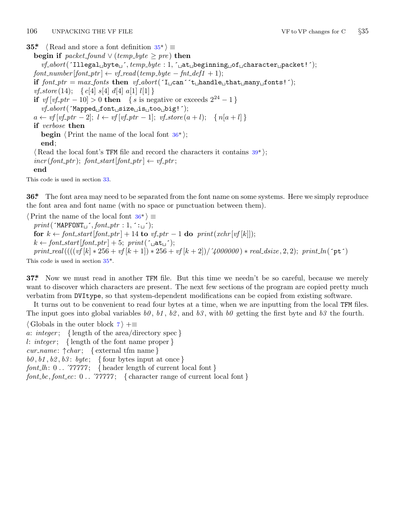### <span id="page-5-0"></span>106 UNPACKING THE VF FILE **VE** to VP changes for C  $\frac{535}{535}$

**35\***  $\langle$  Read and store a font definition  $35^*$  $\rangle \equiv$ **begin if**  $packet\_found \vee (temp\_byte \geq pre)$  **then** *vf abort*(´Illegal␣byte␣´*, temp byte* : 1*,* ´␣at␣beginning␣of␣character␣packet!´);  $font_number[font\_ptr] \leftarrow vf\_read(temp\_byte - fnt\_def1 + 1);$ **if**  $font\_ptr = max\_ fonts$  **then**  $vf\_abort('I \subseteq can 't \subseteq handle \subseteq that \subseteq many \subseteq fonts!')$ ; *vf store* (14); *{ c*[4] *s*[4] *d*[4] *a*[1] *l*[1] *}* **if**  $v f [v f_{p} t r - 10] > 0$  **then** { *s* is negative or exceeds  $2^{24} - 1$  } *vf abort*(´Mapped␣font␣size␣is␣too␣big!´);  $a \leftarrow vf[vf\_ptr-2]; \ l \leftarrow vf[vf\_ptr-1]; \ v f\_store(a+l); \ \{ n[a+l] \}$ **if** *verbose* **then begin**  $\langle$  Print the name of the local font  $36^*$  $\rangle$ ; **end**; *⟨* Read the local font's TFM file and record the characters it contains 39\* *⟩*;  $incr(font{\text{-}}ptr);$   $font{\text{-}}start[font{\text{-}}ptr] \leftarrow vf{\text{-}}ptr;$ **end**

This code is used in section 33.

**36\*.** The font area may need to be separated from the font name on some systems. Here we simply reproduce the font area and font name (with no space or punctuation between them).

*⟨*Print the name of the local font 36\* *⟩ ≡ print*(´MAPFONT␣´*, font ptr* : 1*,* ´:␣´); **for**  $k \leftarrow$  *font\_start* [*font\_ptr*] + 14 **to**  $vf$ <sub>-</sub>ptr - 1 **do**  $print(xchr[vf[k]]);$  $k \leftarrow$  *font\_start* [*font\_ptr*] + 5; *print*( $\zeta$ <sub>11</sub> $\Delta t$ <sub>11</sub> $\zeta$ ); print\_real( $(((vf[k]+256+vf[k+1])+256+vf[k+2])/4000000)*real\_dsize, 2, 2); print\_ln(^\circpt+)$ 

This code is used in section 35\*.

**37\*.** Now we must read in another TFM file. But this time we needn't be so careful, because we merely want to discover which characters are present. The next few sections of the program are copied pretty much verbatim from DVItype, so that system-dependent modifications can be copied from existing software.

It turns out to be convenient to read four bytes at a time, when we are inputting from the local TFM files. The input goes into global variables  $b\theta$ ,  $b1$ ,  $b2$ , and  $b3$ , with  $b\theta$  getting the first byte and  $b3$  the fourth.

*⟨* Globals in the outer block 7 *⟩* +*≡*

*a*: *integer* ; *{* length of the area/directory spec *}*

*l*: *integer* ; *{* length of the font name proper *}*

*cur name* : *↑char* ; *{* external tfm name *}*

 $b0, b1, b2, b3$ :  $byte;$  {four bytes input at once }

*font\_lh*:  $0 \ldots$   $\gamma \gamma \gamma \gamma \gamma$ ; { header length of current local font }

 $font\_bc, font\_ec: 0$ ...  $\gamma\gamma\gamma\gamma\gamma$ ; { character range of current local font }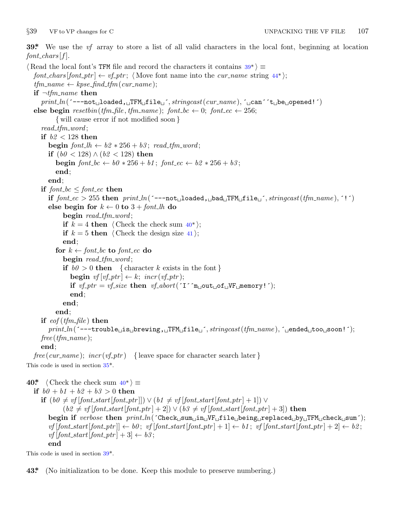<span id="page-6-0"></span>

**39\*.** We use the *vf* array to store a list of all valid characters in the local font, beginning at location  $font\_chars[f].$ 

*⟨* Read the local font's TFM file and record the characters it contains 39\* *⟩ ≡ font\_chars* [*font\_ptr*]  $\leftarrow$  *vf\_ptr*;  $\langle$  Move font name into the *cur\_name* string  $44^*$  };  $tfm_name \leftarrow kpse\_find\_tfm(cur_name);$ **if** *¬tfm name* **then** *print ln*(´−−−not␣loaded,␣TFM␣file␣´*, stringcast*(*cur name* )*,* ´␣can´´t␣be␣opened!´) **else begin**  $resetbin(tfm_ffile, tfm_name); font_to ← 0; font_ec ← 256;$ *{* will cause error if not modified soon *} read tfm word* ; **if** *b2 <* 128 **then begin**  $font\_lh \leftarrow b2 * 256 + b3$ ;  $read\_tfm\_word$ ; **if** (*b0 <* 128) *∧* (*b2 <* 128) **then begin**  $font\_bc \leftarrow b0 * 256 + b1$ ;  $font\_ec \leftarrow b2 * 256 + b3$ ; **end**; **end**; **if**  $font\_bc \leq font\_ec$  **then if**  $font\_ec > 255$  then  $print\_ln($   $^{\text{-}-\text{-not}}$  [loaded, |bad|TFM|file||´*, stringcast*( $tfm\_name$ ), ´!´) **else begin for** *k ←* 0 **to** 3 + *font lh* **do begin** *read tfm word* ; **if**  $k = 4$  **then**  $\langle$  Check the check sum  $40^*$ ; **if**  $k = 5$  **then**  $\langle$  Check the design size 41 $\rangle$ ; **end**; **for**  $k \leftarrow$  *font\_bc* **to** *font\_ec* **do begin** *read tfm word* ; **if**  $b0 > 0$  **then** { character *k* exists in the font } **begin**  $vf[vf\_ptr] \leftarrow k$ ;  $incr(vf\_ptr)$ ; **if**  $vf\_ptr = vf\_size$  **then**  $vf\_abort('I'\text{m} \text{u} out \text{u} of \text{u}VF \text{u} memory!$ ; **end**; **end**; **end**; **if** *eof* (*tfm file* ) **then** *print ln*(´−−−trouble␣is␣brewing,␣TFM␣file␣´*, stringcast*(*tfm name* )*,* ´␣ended␣too␣soon!´); *free* (*tfm name* ); **end**;  $free(cur_name);$  *incr* $(vf_1ptr)$  { leave space for character search later } This code is used in section 35\*. **40\***  $\langle$  Check the check sum  $40^*$   $\rangle \equiv$ **if**  $b0 + b1 + b2 + b3 > 0$  **then if**  $(b0 ≠ vf [font\_start[font_ptr]]) ∨ (b1 ≠ vf [font\_start[font_ptr] + 1]) ∨ (b1 ≠ of [font\_start[font_ptr] + 1])$  $(b2 \neq vf \cdot [font\_start[font\_ptr] + 2] ) \vee (b3 \neq vf \cdot [font\_start[font\_ptr] + 3] )$  then **begin if** *verbose* **then** *print ln*(´Check␣sum␣in␣VF␣file␣being␣replaced␣by␣TFM␣check␣sum´);  $v f [font\_start[font\_ptr]] \leftarrow b0; v f [font\_start[font\_ptr] + 1] \leftarrow b1; v f [font\_start[font\_ptr] + 2] \leftarrow b2;$  $v f$ [*font\_start*[*font\_ptr*] + 3]  $\leftarrow b3$ ; **end**

This code is used in section 39\*.

**43\*.** (No initialization to be done. Keep this module to preserve numbering.)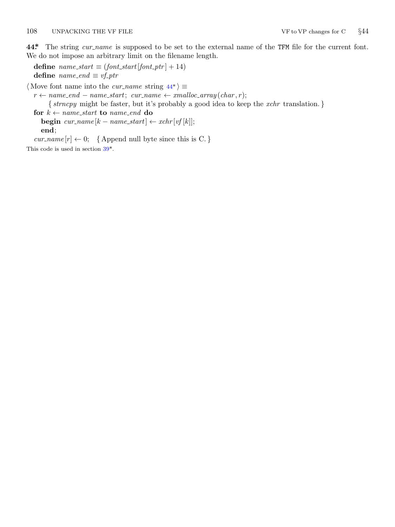<span id="page-7-0"></span>**44\*.** The string *cur name* is supposed to be set to the external name of the TFM file for the current font. We do not impose an arbitrary limit on the filename length.

**define**  $name\_start \equiv (font\_start[font\_ptr] + 14)$ **define**  $name\_end \equiv vf\_ptr$ 

*⟨* Move font name into the *cur name* string 44\* *⟩ ≡*

 $r \leftarrow name\_end - name\_start$  $r \leftarrow name\_end - name\_start$  $r \leftarrow name\_end - name\_start$ ;  $cur\_name \leftarrow smalloc\_array(char, r)$ ;

*{ strncpy* might be faster, but it's probably a good idea to keep the *xchr* translation. *}*

**for**  $k \leftarrow name\_start$  **to**  $name\_end$  **do** 

 $\mathbf{begin} \text{ } \textit{begin} \text{ } \textit{cur_name} \text{ } [k - \textit{name\_start}] \leftarrow \textit{xchr}[\textit{vf}[k]] ; \end{split}$ **end**;

 $cur_name[r] \leftarrow 0;$  {Append null byte since this is C. *}* 

This code is used in section  $39^*.$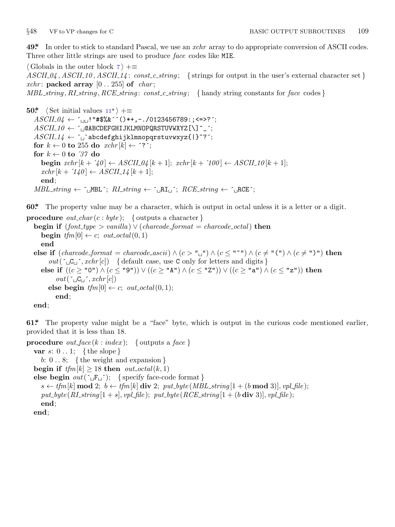<span id="page-8-0"></span>

**49\*.** In order to stick to standard Pascal, we use an *xchr* array to do appropriate conversion of ASCII codes. Three other little strings [ar](#page-2-0)e used to produce *face* codes like MIE.

*⟨* Globals in the outer block 7 *⟩* +*≡*  $ASCII_0$ ,  $ASCII_10$ ,  $ASCII_14$ :  $const_c_string$ ; {strings for output in the user's external character set } *xchr*: **packed array**  $[0..255]$  of *char*; *MBL string , RI string , RCE string* : *const c string* ; *{* handy string constants for *face* codes *}*

**50\***  $\langle$  Set initial values  $11^*$   $\rangle$  += *ASCII 04 ←* ´␣␣!"#\$%&´´()\*+,−./0123456789:;<=>?´;  $ASCII\_10 \leftarrow \texttt{`$\sqcup$}\texttt{QABCDEFGHIJKLMNOPQRSTUVWXYZ}$ [\]^\_^; *ASCII 14 ←* ´␣`abcdefghijklmnopqrstuvwxyz{|}~?´; for  $k \leftarrow 0$  to 255 do  $xchr[k] \leftarrow$  '?'; **for**  $k \leftarrow 0$  **to** '37 **do begin**  $xchr[k + '40] \leftarrow ASCII_04[k + 1]$ ;  $xchr[k + '100] \leftarrow ASCII_10[k + 1]$ ;  $xchr[k + '140] \leftarrow ASCII_14[k + 1];$ **end**;  $MBL\_string \leftarrow \{MBL^*; RI\_string \leftarrow \{MRL^*; RCE\_string \leftarrow \{MRE^*; RCE\_string \leftarrow \}$ 

**60\*.** The property value may be a character, which is output in octal unless it is a letter or a digit.

```
procedure out char (c : byte ); { outputs a character }
  begin if (font_type > vanilla) \vee (charcode\_format = charcode\_octal) then
     begin tfm[0] \leftarrow c; out\_octal(0, 1)end
  else if (charcode format = charcode ascii) ∧ (c > "␣") ∧ (c ≤ "~") ∧ (c ̸= "(") ∧ (c ̸= ")") then
        out(\lceil \text{GL} \rceil, xchr[c]) {default case, use C only for letters and digits }
     else if ((c ≥ "0") ∧ (c ≤ "9")) ∨ ((c ≥ "A") ∧ (c ≤ "Z")) ∨ ((c ≥ "a") ∧ (c ≤ "z")) then
          out(\ulcorner\llcorner\mathsf{C}\llcorner\urcorner, xchr[c])\mathbf{else} begin tfm[0] \leftarrow c; out\_octal(0, 1);end;
  end;
```
**61\*.** The property value might be a "face" byte, which is output in the curious code mentioned earlier, provided that it is less than 18.

```
procedure out_face (k : index); \{ outputs a face \}var s: 0 . . 1; { the slope }
     b: 0 . . 8; { the weight and expansion }
  begin if tfm[k] \geq 18 then out\_octal(k, 1)else begin out(\lceil \text{F}_\sqcup \rceil); { specify face-code format }
     s \leftarrow tfm[k] mod 2; b \leftarrow tfm[k] div 2; put\_byte(MBL\_string[1 + (b \text{ mod } 3)], vpl\_file);put\_byte(R1 \text{ -} string | 1 + s |, vpl\_file); put\_byte(RCE \text{ -} string | 1 + (b \textbf{ div } 3) |, vpl\_file);end;
  end;
```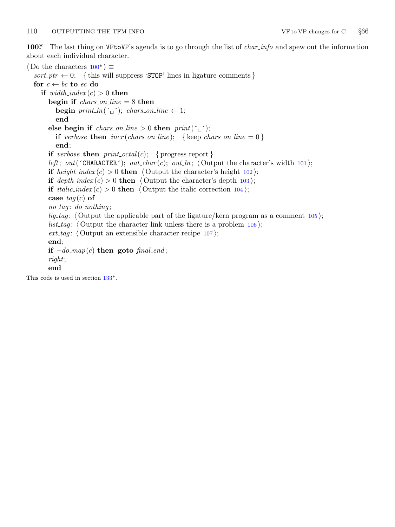<span id="page-9-0"></span>**100\*.** The last thing on VFtoVP's agenda is to go through the list of *char info* and spew out the information about each individual character.

*⟨* Do the characters 100\* *⟩ ≡*  $sort\_ptr \leftarrow 0;$  {this will suppress 'STOP' lines in ligature comments } **for**  $c \leftarrow bc$  **to**  $ec$  **do if**  $width\_index(c) > 0$  **then begin if** *chars on line* = 8 **then begin**  $print\_ln(\lceil \_ \rceil);$   $chars\_on\_line \leftarrow 1;$ **end else begin if** *chars\_on\_line*  $> 0$  **then**  $print(\tilde{\omega})$ ; **if** *verbose* **then**  $\text{incr}(\text{chars\_on\_line});$  {keep  $\text{chars\_on\_line} = 0$ } **end**; **if** *verbose* **then**  $print\_octal(c);$  { progress report } *left*; *out*( $\tau$ CHARACTER $\tau$ ); *out\_char*(*c*); *out\_ln*;  $\langle$  Output the character's width 101); **if**  $height\_index(c) > 0$  **then**  $\langle$  Output the character's height 102 $\rangle$ ; **if**  $depth\_index(c) > 0$  **then**  $\langle$  Output the character's depth 103 $\rangle$ ; **if** *italic\_index* (*c*) > 0 **then**  $\langle$  Output the italic correction 104 $\rangle$ ; **case** *tag* (*c*) **of** *no tag* : *do nothing* ; *lig\_tag*:  $\langle$  Output the applicable part of the ligature/kern program as a comment 105 $\rangle$ ; *list\_tag*:  $\langle$  Outpu[t th](#page-14-0)e character link unless there is a problem  $106$ ;  $ext\_tag$ :  $\langle$  Output an extensible character recipe  $107$   $\rangle$ ; **end**; **if**  $\neg do_map(c)$  **then goto** *final\_end*; *right*; **end** This code is used in section 133\*.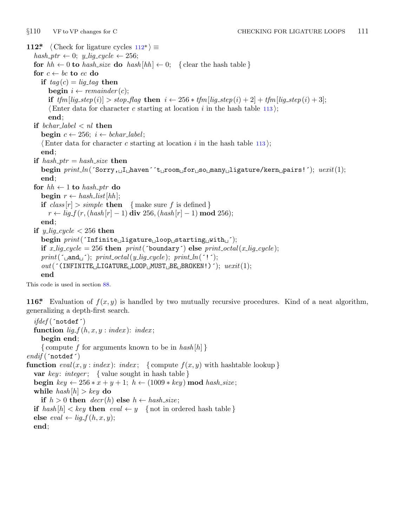<span id="page-10-0"></span>*§*110 VF to VP changes for C CHECKING FOR LIGATURE LOOPS 111 **112\***  $\langle$  Check for ligature cycles  $112^*$   $\equiv$  $hash\_ptr \leftarrow 0; y\_lig\_cycle \leftarrow 256;$ **for**  $hh \leftarrow 0$  **to**  $hash\_size$  **do**  $hash[hh] \leftarrow 0$ ; {clear the hash table } **for**  $c \leftarrow bc$  **to**  $ec$  **do if**  $taq(c) = liq\_taq$  **then begin**  $i \leftarrow remainder(c)$ ; if  $tfm[lig\_step(i)] > stop\_flag$  then  $i \leftarrow 256 * tfm[lig\_step(i) + 2] + tfm[lig\_step(i) + 3];$ *⟨*Enter data for character *c* starting at location *i* in the hash table 113 *⟩*; **end**; **if** *bchar label < nl* **then begin**  $c \leftarrow 256$ ;  $i \leftarrow \text{bchar\_label}$ ; *⟨*Enter data for character *c* starting at location *i* in the hash table 113 *⟩*; **end**; **if**  $hash_ptr = hash_size$  **then begin** *print ln*(´Sorry,␣I␣haven´´t␣room␣for␣so␣many␣ligature/kern␣pairs!´); *uexit*(1); **end**; **for**  $hh \leftarrow 1$  **to**  $hash\_ptr$  **do**  $\mathbf{begin}[t]$   $r \leftarrow hash\_list[hh];$ **if**  $class[r] > simple$  **then**  $\{ \text{make sure } f \text{ is defined } \}$ *r* ← *lig\_f* (*r*, (*hash*[*r*] *−* 1) **div** 256*,* (*hash*[*r*] *−* 1) **mod** 256); **end**; **if**  $y$ *-lig<sub>-cycle</sub>*  $\lt$  256 **then begin** *print*(´Infinite␣ligature␣loop␣starting␣with␣´); **if**  $x$ -lig-cycle = 256 **then**  $print('boundary')$  **else**  $print\_octal(x$ -lig-cycle);  $print(\lceil \text{and}_\sqcup \rceil); \text{ print\_octal}(y\_lig\_cycle); \text{ print\_ln}(\lceil \cdot \rceil);$ *out*(´(INFINITE␣LIGATURE␣LOOP␣MUST␣BE␣BROKEN!)´); *uexit*(1); **end**

This code is used in section 88.

**116\*.** Evaluation of *f*(*x, y*) is handled by two mutually recursive procedures. Kind of a neat algorithm, generalizing a depth-first search.

*ifdef* (´notdef´) **function**  $lig_f(h, x, y : index): index;$ **begin end**; *{* compute *f* for arguments known to be in *hash* [*h*] *} endif* (´notdef´) **function**  $eval(x, y : index): index; \{ compute f(x, y) \text{ with hashtable lookup } \}$ **var** *key* : *integer* ; *{* value sought in hash table *}* **begin**  $key \leftarrow 256 * x + y + 1; h \leftarrow (1009 * key) \text{ mod } hash\_size;$ **while**  $hash[h] > key$  **do if**  $h > 0$  **then**  $decr(h)$  **else**  $h \leftarrow hash\_size$ ; **if**  $hash[h] < key$  **then**  $eval \leftarrow y$  {not in ordered hash table }  $\textbf{else } eval \leftarrow lig_{\textbf{f}}(h, x, y);$ **end**;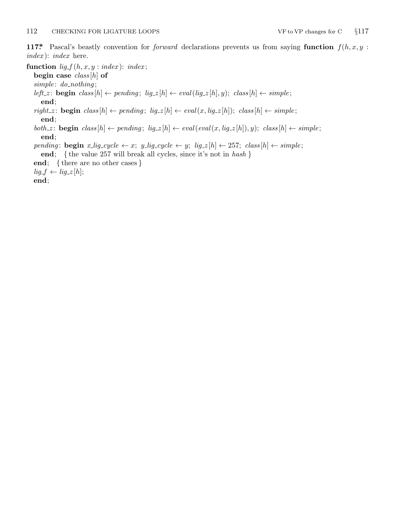<span id="page-11-0"></span>**117\*.** Pascal's beastly convention for *forward* declarations prevents us from saying **function** *f*(*h, x, y* : *index* ): *index* here.

**function**  $lig_f(h, x, y : index): index;$ 

**begin case** *class* [*h*] **of**

*simple* : *do nothing* ;

left\_z: **begin** class  $[h] \leftarrow$  pending;  $lig_z[h] \leftarrow eval(lig_z[h], y)$ ; class  $[h] \leftarrow simple$ ; **end**;

 $\mathit{right\_z} \colon \mathbf{begin}\; \mathit{class}[h] \leftarrow \mathit{pending};\; \mathit{lig\_z}[h] \leftarrow \mathit{eval}(x, \mathit{lig\_z}[h]); \; \mathit{class}[h] \leftarrow \mathit{simple};$ **end**;

both z: **begin** class  $[h] \leftarrow pending$ ;  $lig_z[h] \leftarrow eval(eval(x, lig_z[h]), y)$ ; class  $[h] \leftarrow simple$ ; **end**;

pending: begin x\_lig\_cycle  $\leftarrow x$ ; y\_lig\_cycle  $\leftarrow y$ ; lig\_z[h]  $\leftarrow$  257; class[h]  $\leftarrow$  simple;

**end**; *{* the value 257 will break all cycles, since it's not in *hash }*

**end**; *{* there are no other cases *}*

 $lig_f \leftarrow lig_z[\hbar];$ 

**end**;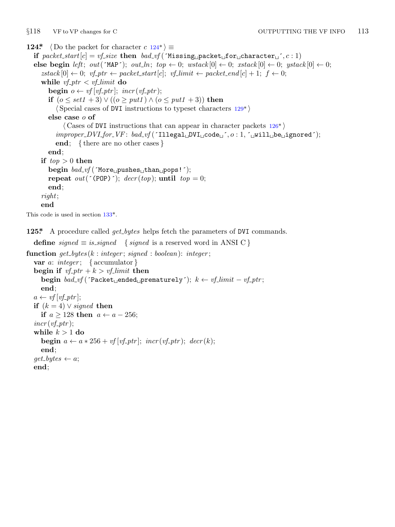<span id="page-12-0"></span>

**124\***  $\langle$  Do the packet for character  $c$  124\* $\rangle \equiv$ **if**  $packet\_start[c] = vf\_size$  **then**  $bad\_vf$  ('Missing<sub>\p</sub>acket<sub>\pi</sub>for<sub>\pi</sub>character<sub>\pi</sub><sup>-</sup>*,c*:1) **else begin** *left*;  $out(\text{MAP}^{\prime})$ ;  $out\_ln$ ;  $top \leftarrow 0$ ;  $wstack[0] \leftarrow 0$ ;  $xstack[0] \leftarrow 0$ ;  $ystack[0] \leftarrow 0$ ;  $zstack[0] \leftarrow 0; \ vf\text{-}ptr \leftarrow packet\_start[c]; \ vf\text{-}limit \leftarrow packet\_end[c] + 1; f \leftarrow 0;$ **while**  $vf$ <sub>*ptr*</sub>  $\lt$  *vf*<sub>-limit</sub> **do begin**  $o \leftarrow vf[vf\_ptr]$ ;  $incr(vf\_ptr)$ ; **if** (*o ≤ set1* + 3) *∨* ((*o ≥ put1* ) *∧* (*o ≤ put1* + 3)) **then** *⟨* Special cases of DVI instructions to typeset characters 129\* *⟩* **else case** *o* **of** *⟨* Cases of DVI instructions that can appear in character packets 126\* *⟩ improper DVI for VF* : *bad vf* (´Illegal␣DVI␣code␣´*, o* : 1*,* ´␣will␣be␣ignored´); **end**; *{* there are no other cases *}* **end**; **if**  $top > 0$  **then begin** *bad\_vf* (´More<sub>□</sub>pushes<sub>□</sub>than<sub>□</sub>pops!´); **repeat** *out*( $^{\prime}$ (POP) $^{\prime}$ ); *decr*(*top*); **until** *top* = 0; **end**; *right*; **end** This code is used in section 133\*.

**125\*.** A procedure called *get bytes* helps fetch the parameters of DVI commands.

```
define signed \equiv is\_signed { signed is a reserved word in ANSI C }
function get bytes (k : integer ; signed : boolean): integer ;
   var a: integer ; { accumulator }
   begin if vfptr + k > vflimit then
      begin bad_vf (\text{`Packet}_\text{`}ended<sub>□</sub>prematurely´); k \leftarrow \text{`vf}_\text{`}limit -\text{`vf}_\text{`}ptr;
      end;
   a \leftarrow \textit{vf}[v_f{\text{-}}ptr];if (k = 4) ∨ signed then
      if a \ge 128 then a \leftarrow a - 256;
   incr(vf_{\mathcal{I}}^{f};
   while k > 1 do
      begin a \leftarrow a * 256 + \text{vf} [\text{vf\_ptr}]; \text{incr}(\text{vf\_ptr}); \text{decr}(k);
      end;
   get\_bytes \leftarrow a;end;
```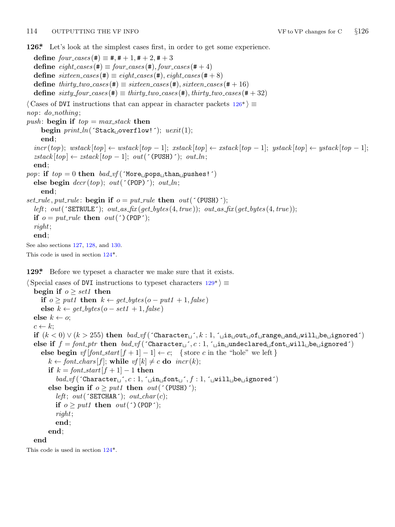<span id="page-13-0"></span>**126\*.** Let's look at the simplest cases first, in order to get some experience.

 $\text{define}$   $four\_cases$  (#)  $\equiv$  #, # + 1, # + 2, # + 3  $\text{define } \text{eight}\text{.cases}(\text{#}) \equiv \text{four}\text{.cases}(\text{#}), \text{four}\text{.cases}(\text{#}+4)$  $\text{define } sixteen\_cases \text{ } (\#) \equiv eight\_cases \text{ } (\#), eight\_cases \text{ } (\# + 8)$ **define**  $thirty\_two\_cases$  (#)  $\equiv$   $sixteen\_cases$  (#),  $sixteen\_cases$  (#+16)  $\text{define } sixty\_four\_cases(\text{#}) \equiv thirty\_two\_cases(\text{#}), thirty\_two\_cases(\text{#}+32)$ *⟨* Cases of DVI instructions that can appear in character packets 126\* *⟩ ≡ nop*: *do nothing* ; *push* : **begin if** *top* = *max stack* **then begin** *print\_ln*(´Stack<sub>□</sub>overflow!´); *uexit*(1); **end**;  $inc(top);$   $wstack[top] \leftarrow wstack[top-1];$   $xstack[top] \leftarrow xstack[top] \leftarrow xstack[top-1];$   $ystack[top-1] \leftarrow ystack[top] \leftarrow ystack[top-1]$ ;  $zstack[top] \leftarrow zstack[top] - 1$ ;  $out('$ (PUSH)´);  $out\_ln$ ; **end**;  $pop:$  **if**  $top = 0$  **then**  $bad_{y}f('More_{\text{top}}ops_{\text{tot}}than_{\text{top}}pushes!')$ **else begin**  $decr(top)$ ;  $out('(\text{POP})^{\text{-}})$ ;  $out\_ln$ ; **end**; *set\_rule*, *put\_rule*: **begi[n if](#page-12-0)**  $o = put\_rule$  **then**  $out('$  (PUSH)´); *left*;  $out$  ( $\text{SETRULE}$ );  $out\text{.}as\text{.}fix$  ( $get\text{.}bytes(4, true)$ );  $out\text{.}as\text{.}fix$  ( $get\text{.}bytes(4, true)$ ); **if**  $o = put\_rule$  **then**  $out(')(POP');$ *right*; **end**; See also sections 127, 128, and 130. This code is used in section 124\*.

**129\*.** Before we typeset a character we make sure that it exists.

```
⟨ Special cases of DVI instructions to typeset characters 129* ⟩ ≡
  begin if o > set1 then
    if o \geq put1 then k \leftarrow get\_bytes(o - put1 + 1, false)else k \leftarrow get\_bytes(o - set1 + 1, false)else k \leftarrow o;
  c \leftarrow k;
  if (k < 0) ∨ (k > 255) then bad_vf('Character_v', k : 1, ∴_is_vout_vof_vrange_vand_vwill_vbe_vignored')else if f = font ptr then bad vf (´Character␣´, c : 1, ´␣in␣undeclared␣font␣will␣be␣ignored´)
    else begin \text{vf}[font\_start[f+1]-1] \leftarrow c; {store c in the "hole" we left }
      k \leftarrow font_chars [f]; while vf[k] \neq c do \text{incr}(k);
      if k = font_start[f + 1] − 1 then
         bad vf (´Character␣´, c : 1, ´␣in␣font␣´, f : 1, ´␣will␣be␣ignored´)
      else begin if o > put1 then out(' (PUSH)´);
         left; out(CHAR}; out_char(c);
         if o \geq put1 then out(')(POP');right;
         end;
      end;
  end
```
This code is used in section 124\*.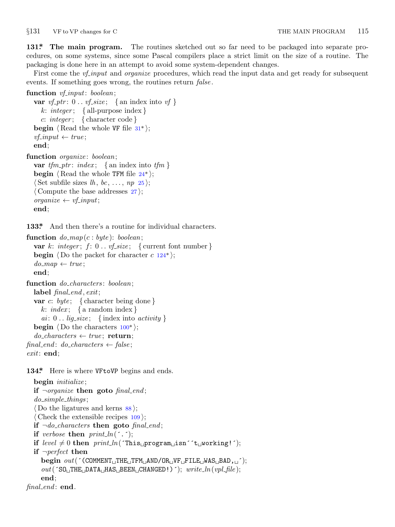<span id="page-14-0"></span>*§*131 VF to VP changes for C THE MAIN PROGRAM 115

**131\*. The main program.** The routines sketched out so far need to be packaged into separate procedures, on some systems, since some Pascal compilers place a strict limit on the size of a routine. The packaging is done here in an attempt to avoid some system-dependent changes.

First come the *vf\_input* [an](#page-4-0)d *organize* procedures, which read the input data and get ready for subsequent events. If something goes wrong, the routines return *false* .

```
function vf input: boolean;
  var vf<sub>ptr</sub>: 0 . . vfsize; { an index into vf }
     k: integer ; { all-purpose index }
     c: integer ; { character code }
  begin \langle Read the whole VF file 31^*\rangle;
  vf\_input \leftarrow true;end;
function organize : boolean;
  var tfm\_ptr: index; {an index into tfm}
  begin \langle Read the whole TFM file 24^*;
  ⟨ Set subfile sizes lh , bc, . . . , np 25 ⟩;
  ⟨ Compute the base addresses 27 ⟩;
  \no{r}{ganize} \leftarrow vf\_input;end;
```
**133\*.** And then there's a routine for individual characters.

**function** *do map*(*c* : *byte* ): *boolean*; **var**  $k$ : *integer*;  $f: 0$ . *vf\_size*; { current font number } **begin**  $\langle$  Do the packet for character *c* 124\*);  $do_map \leftarrow true;$ **end**; **function** *do characters* : *boolean*; **label** *final end , exit*; **var** *c*: *byte* ; *{* character being done *} k*: *index* ; *{* a random index *}*  $ai: 0$ ... *lig\_size*; {index into *activity*} **begin**  $\langle$  Do the characters  $100^*$   $\rangle$ ; *do characters ← true* ; **return**;  $final\_end: do\_characters \leftarrow false;$ *exit*: **end**;

134\* Here is where VFtoVP begins and ends.

```
begin initialize ;
  if ¬organize then goto final end ;
  do simple things ;
  ⟨ Do the ligatures and kerns 88 ⟩;
  ⟨ Check the extensible recipes 109 ⟩;
  if \neg do{\text{-}charcters} then goto \text{final\_end};
  if verbose then print\_ln(\cdot.\cdot);if level \neq 0 then print\_ln('This \text{`pregram} \text{`isin'`t} \text{`preverking!`);if ¬perfect then
    begin out(´(COMMENT␣THE␣TFM␣AND/OR␣VF␣FILE␣WAS␣BAD,␣´);
     out(´SO␣THE␣DATA␣HAS␣BEEN␣CHANGED!)´); write ln(vpl file );
    end;
final end : end.
```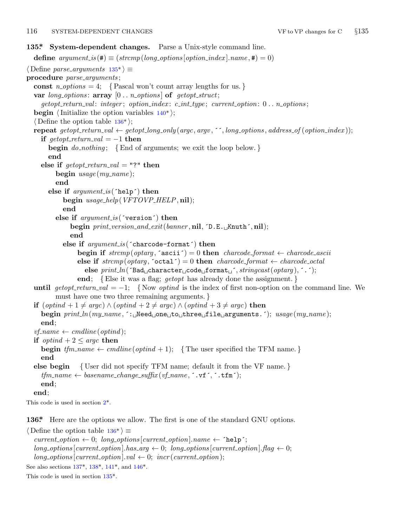### <span id="page-15-0"></span>116 SYSTEM-DEPENDENT CHANGES VF to VP changes for C *§*135

## **135\*. System-dependent changes.** Parse a Unix-style command line. **define**  $argument_is(\textbf{\#}) \equiv (strompllong_options[option\_index].name, \textbf{\#}) = 0)$  $argument_is(\textbf{\#}) \equiv (strompllong_options[option\_index].name, \textbf{\#}) = 0)$  $argument_is(\textbf{\#}) \equiv (strompllong_options[option\_index].name, \textbf{\#}) = 0)$ *⟨* Define *parse arguments* 135\* *⟩ ≡* **procedure** *parse arguments* ; const  $n\text{-}options = 4$ ;  $\{ Pascal won't count array lengths for us.\}$ **var** *long options* : **array** [0 *. . n options* ] **of** *getopt struct*; *getopt return val* : *integer* ; *option index* : *c int type* ; *current option*: 0 *. . n options* ; **begin**  $\langle$ Initialize the option variables  $140^*$ ; *⟨* Define the option table 136\* *⟩*; **repeat** getopt\_return\_val  $\leftarrow$  getopt\_long\_only(argc, argv, '', long\_options, address\_of(option\_index)); **if**  $\text{get} \text{opt}\text{-} \text{return}\text{-}\text{val} = -1$  **then begin** *do nothing* ; *{*End of arguments; we exit the loop below. *}* **end else if**  $\text{getopt\_return\_val} = "?"$  **then begin** *usage* (*my name* ); **end else if** *argument is* (´help´) **then begin** *usage help*(*VFTOVP HELP,* **nil**); **end else if** *argument is* (´version´) **then begin** *print version and exit*(*banner ,* **nil***,* ´D.E.␣Knuth´*,* **nil**); **end else if** *argument is* (´charcode−format´) **then**  $\text{begin if} \text{strm}( \text{optarg}, \text{`ascii'}) = 0 \text{ then } \text{charcode\_format} \leftarrow \text{charcode\_ascii}$ **else if**  $strcmp(optarg, 'octal') = 0$  **then**  $charcode\_format \leftarrow charcode\_octal$ **else** *print ln*(´Bad␣character␣code␣format␣´*, stringcast*(*optarg* )*,* ´.´); **end**; *{*Else it was a flag; *getopt* has already done the assignment. *}* **until**  $qetopt\_return\_val = -1$ ; {Now *optind* is the index of first non-option on the command line. We must have one two three remaining arguments. *}* **if** (*optind* + 1 *̸*= *argc*) *∧* (*optind* + 2 *̸*= *argc*) *∧* (*optind* + 3 *̸*= *argc*) **then begin** *print ln*(*my name ,* ´:␣Need␣one␣to␣three␣file␣arguments.´); *usage* (*my name* ); **end**;  $v$ *f\_name*  $\leftarrow$  *cmdline*(*optind*); **if**  $\text{optind} + 2 \leq \text{argc}$  **then begin**  $tfm_name \leftarrow \text{c}$  *emdline* (*optind* + 1); { The user specified the TFM name.} **end else begin** *{* User did not specify TFM name; default it from the VF name. *}*  $tfm_name \leftarrow basename\_change\_suffix(vf_name, \cdot, vf', \cdot, tfm')$ ; **end**; **end**; This code is used in section 2\*.

**136\*.** Here a[re th](#page-16-0)e [op](#page-16-0)ti[ons](#page-16-0) we a[llow](#page-16-0). The first is one of the standard GNU options.

*⟨* Define the option table 136\* *⟩ ≡*  $current\_option \leftarrow 0; long\_options[current\_option].name \leftarrow 'help';$  $long\_options$  [*current\_option*]*.has\_arg*  $\leftarrow 0$ ; *long\_options* [*current\_option*]*.flag*  $\leftarrow 0$ ;  $long\_options[current\_option].val \leftarrow 0; incr(current\_option);$ See also sections 137\*, 138\*, 141\*, and 146\*.

This code is used in section 135\*.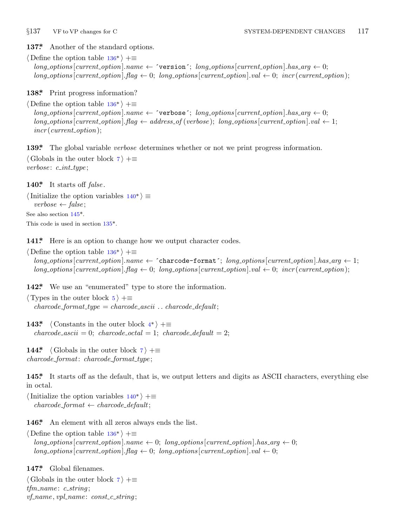<span id="page-16-0"></span>

**137\*.** Another of the st[and](#page-15-0)ard options.

*⟨* Define the option table 136\* *⟩* +*≡*  $long-options[current\_option].name \leftarrow 'version'; long\_options[current\_option].has\_arg \leftarrow 0;$  $long\_{optim}$  [*current\_option*]*.flag*  $\leftarrow 0$ ; *long\_options* [*current\_option*]*.val*  $\leftarrow 0$ ; *incr* (*current\_option*);

**138\*.** Print progress information?

*⟨* Define the option table 136\* *⟩* +*≡*  $long-options$  [*current\_option*]*.name*  $\leftarrow$   $\check{\ }$ verbose $\check{\ }$ ; *long\_options* [*current\_option*]*.has\_arg*  $\leftarrow$  0;  $long-options$  [*current\_option*]*.flag*  $\leftarrow$  *address\_of* (*verbose*); *long\_options* [*current\_option*]*.val*  $\leftarrow$  1; *incr* (*current option*);

**139\*.** The global variable *verbose* determines whether or not we print progress information.

*⟨* Globals in the outer block 7 *⟩* +*≡ verbose* : *c int type* ;

**140\*.** It starts off *false* .

*⟨*Initialize the option var[iabl](#page-15-0)es 140\* *⟩ ≡ verbose ← false* ; See also section 145\*. This code is used in section 135\*.

141<sup>\*</sup> Here is an option to change how we output character codes.

*⟨* Define the option table 136\* *⟩* +*≡*  $long\_options$  [*current\_option*]*.name*  $\leftarrow$   $\sim$  *charcode-format';*  $long\_options$  [*current\_option*]*.has\_arg*  $\leftarrow$  1;  $long\_options$  [current\_option].  $flag \leftarrow 0$  $flag \leftarrow 0$ ;  $long\_options$  [current\_option].  $val \leftarrow 0$ ;  $incr$  (current\_option);

142<sup>\*</sup> We use an "enumerated" type to store the information.

*⟨* Types in the outer block 5 *⟩* +*≡*  $character{a}$  *charcode\_format\_type = charcode\_ascii*  $\ldots$  *charcode\_default*;

**143\***  $\langle$  Constants in the outer block  $4^*$   $\rangle$  +=  $characterance\_ascii = 0$ ;  $characterance\_octal = 1$ ;  $characterance\_default = 2$ ;

**144\***  $\langle$  Globals in the outer block  $7 \rangle + \equiv$ *charcode format*: *charcode format type* ;

**145\*.** It starts off as th[e de](#page-15-0)fault, that is, we output letters and digits as ASCII characters, everything else in octal.

*⟨*Initialize the option variables 140\* *⟩* +*≡*  $character{eq:format} \leftarrow \text{characterized:}$ 

146\* An element with all zeros always ends the list.

*⟨* Define the option table 136\* *⟩* +*≡*  $long\_options[current\_option].name \leftarrow 0; long\_options[current\_option].has\_arg \leftarrow 0;$  $long\_{options}$  [*current\_option*]*.flag*  $\leftarrow 0$ ; *long\_options* [*current\_option*]*.val*  $\leftarrow 0$ ;

**147\*.** Global filenames.

*⟨* Globals in the outer block 7 *⟩* +*≡ tfm name* : *c string* ; *vf name , vpl name* : *const c string* ;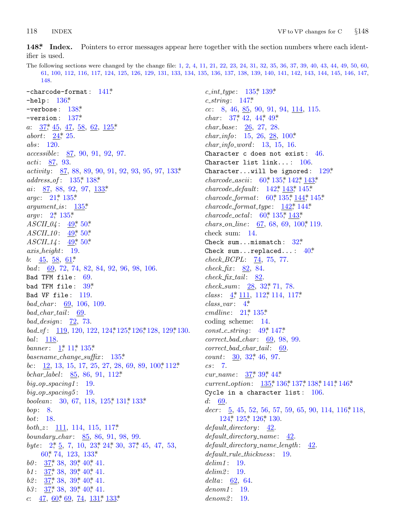#### <span id="page-17-0"></span>118 **INDEX**

148\* Index. Pointers to error messages appear here together with the section numbers where each identifier is used.

The following sections were changed by the change file: 1, 2, 4, 11, 21, 22, 23, 24, 31, 32, 35, 36, 37, 39, 40, 43, 44, 49, 50, 60, 61, 100, 112, 116, 117, 124, 125, 126, 129, 131, 133, 134, 135, 136, 137, 138, 139, 140, 141, 142, 143, 144, 145, 146, 147, 148.

 $-$ charcode-format:  $141*$  $-$ help:  $136*$ -verbose:  $138$  $\rlap{.}^*$  $-version: 137*$ *a*:  $\frac{37}{5}, \frac{45}{5}, \frac{47}{5}, \frac{58}{62}, \frac{62}{125}$ abort:  $24$ , 25.  $abs: 120.$  $accessible: 87, 90, 91, 92, 97.$ *acti*: 87, 93. *activity*:  $\frac{87}{86}$ , 88, 89, 90, 91, 92, 93, 95, 97, 133\*  $address\_of: 135, 138$ ai: 87, 88, 92, 97, 133\* argc:  $21^* 135^*$  $argument_is: 135*$ *argv*:  $2^*$  135\*  $ASCII_04: \frac{49}{50*}50*$  $ASCII_10: 49, 50$  $ASCH14: 49, 50$  $axis\_height: 19.$ b:  $\frac{45}{58}$ ,  $\frac{58}{61}$ bad: 69, 72, 74, 82, 84, 92, 96, 98, 106. Bad TFM file: 69. bad TFM file:  $39*$ Bad VF file: 119.  $bad\_char: 69, 106, 109.$  $bad\_char\_tail:$  69. bad\_design:  $\overline{22}$ , 73. bad\_vf:  $119, 120, 122, 124, 125, 126, 128, 129, 130.$  $bal: 118.$ banner:  $1, 11, 135$ \*  $basename\_change\_suffix: 135*$ *bc*:  $\frac{12}{12}$ , 13, 15, 17, 25, 27, 28, 69, 89, 100,\* 112\* bchar\_label:  $85, 86, 91, 112*$  $big\_op\_spacing1:$  19.  $big\_op\_spacing5:$  19. boolean:  $30, 67, 118, 125, 131, 133$ \* bop:  $8.$ bot: 18. both\_z:  $111, 114, 115, 117$ \* boundary\_char: 85, 86, 91, 98, 99. byte:  $2, \frac{1}{2}, 5, 7, 10, 23, 24, 30, 37, 45, 47, 53,$ 60, 74, 123, 133\* *b0*:  $\frac{37}{36}$ , 38, 39, 40, 41.  $b1: 37^*38, 39^*40^*41.$  $b2: \frac{37}{5}38, 39, 40, 41.$ b3:  $37^*$ , 38, 39, 40, 41. c:  $\frac{47}{60}$ ,  $\frac{60}{69}$ ,  $\frac{74}{131}$ ,  $\frac{131^*}{133^*}$ 

 $c\_int\_type: 135^* 139^*$  $c\_string: 147*$  $cc: 8, 46, 85, 90, 91, 94, 114, 115.$ *char:*  $37^*$  42, 44<sup>\*</sup> 49<sup>\*</sup> *char\_base:*  $26, 27, 28$ . *char\_info*: 15, 26, 28, 100\*  $char_info\_word: 13, 15, 16.$ Character c does not exist:  $46.$ Character list  $link...$ : 106. Character...will be ignored:  $129*$  $charcode\_ascii$ : 60, 135, 142, 143  $charcode\_default: 142^*143^*145^*$  $charcode\_format: 60^*135^*_{144^*145^*$  $characterance of a normal_type: \frac{142}{144}.$ *charcode\_octal:*  $60^*$  135<sup>\*</sup> 143<sup>\*</sup> *chars\_on\_line*:  $67, 68, 69, 100$ ,\* 119. check sum: 14. Check sum...mismatch:  $32^*$ Check sum... replaced...:  $40^*$  $check\_BCPL: 74, 75, 77.$  $check_{f}$   $\ddot{x}$ :  $\frac{82}{84}$ .  $check\_fix\_tail$ : 82.  $check\_sum: 28, 32, 71, 78.$ *class*:  $4, 111, 112, 114, 117$  $class\_var: 4^*$  $cmdline: 21^* 135^*$ coding scheme:  $14$ .  $const_c\_string: 49^*147^*$  $correct\_bad\_char: 69, 98, 99.$  $correct\_bad\_char\_tail:$  69. *count*:  $30, 32, 46, 97.$  $cs: 7.$ *cur\_name*:  $37^*39^*44^*$ *current\_option*:  $135$ <sup>\*</sup>,  $136$ <sup>\*</sup>,  $137$ <sup>\*</sup>,  $138$ <sup>\*</sup>,  $141$ <sup>\*</sup>,  $146$ <sup>\*</sup> Cycle in a character list:  $106$ .  $d: 69.$  $decr: \underline{5}$ , 45, 52, 56, 57, 59, 65, 90, 114, 116, 118, 124, 125, 126, 130.  $default\_directory: 42.$  $default\_directory\_name: 42.$  $default\_directory\_name\_length: 42.$  $default\_rule\_thickness: 19.$  $delim1: 19.$  $delim2: 19.$  $delta: 62, 64.$  $denom1: 19.$  $denom2: 19.$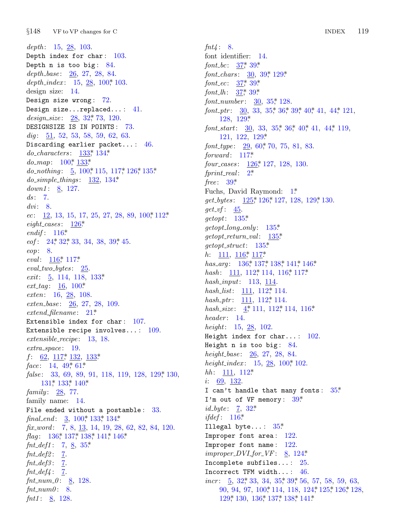$§148$ VF to VP changes for C

depth:  $15, 28, 103$ . Depth index for char:  $103$ . Depth  $n$  is too big:  $84$ . depth\_base: 26, 27, 28, 84. depth\_index:  $15, 28, 100, 103$ . design size:  $14$ . Design size wrong: 72. Design size... replaced...:  $41.$ design\_size:  $28, 32, 73, 120$ . DESIGNSIZE IS IN POINTS: 73.  $dig: 51, 52, 53, 58, 59, 62, 63.$ Discarding earlier packet...:  $46$ . *do\_characters*:  $133^{*} 134^{*}$  $do_{-}map: 100^*_{2} 133^*$ *do\_nothing*:  $\underline{5}$ , 100, 115, 117, 126, 135\*  $do\_simple\_things: \quad 132, \; 134^*$ down1:  $8, 127.$  $ds$ : 7.  $dv_i$ : 8. *ec*: 12, 13, 15, 17, 25, 27, 28, 89, 100 $*$  112 $*$  $eight\_cases: \quad \underline{126}^*$ endif:  $116*$ *eof*:  $24$ <sup>\*</sup>,  $32$ <sup>\*</sup>,  $33$ ,  $34$ ,  $38$ ,  $39$ <sup>\*</sup>,  $45$ . eop: 8. eval:  $116$ <sup>\*</sup>, 117<sup>\*</sup>  $eval\_two\_bytes: \quad \underline{25}$ *exit*:  $\frac{5}{9}$ , 114, 118, 133\*  $ext\_tag: 16, 100*$ exten: 16, 28, 108.  $ext{en\_base}:$   $\frac{26}{26}$ , 27, 28, 109.  $extend\_filename: 21*$ Extensible index for char:  $107$ . Extensible recipe involves...:  $109$ .  $extensible\_recipe: 13, 18.$  $extra\_space:$  19.  $f: 62, 117, 132, 133$ face:  $14, 49, 61$ <sup>\*</sup> *false*: 33, 69, 89, 91, 118, 119, 128, 129, 130,  $131*133*140*$ family:  $28, 77$ . family name: 14. File ended without a postamble:  $33$ . final\_end:  $\frac{3}{2}$ , 100, 133, 134. fix word:  $7, 8, 13, 14, 19, 28, 62, 82, 84, 120.$ *flag*:  $136$ <sup>\*</sup>,  $137$ <sup>\*</sup>,  $138$ <sup>\*</sup>,  $141$ <sup>\*</sup>,  $146$ <sup>\*</sup> *fnt\_def1*: 7, <u>8</u>, 35\*  $fnt\_def2:$  7.  $fnt\_def3:$  7.  $fnt\_def4:$  7. *fnt\_num\_0*: <u>8</u>, 128.  $fnt_number: 8.$ *fnt1*:  $8 \overline{)}$ , 128.

 $fnt4: 8.$ font identifier: 14. *font\_bc*:  $37^*$  39\* *font\_chars*:  $\frac{30}{39}$ , 39, 129\* *font\_ec:*  $37$ <sup>\*</sup>,  $39$ <sup>\*</sup> font\_lh:  $37^*39^*$ *font\_number*:  $30, 35$ <sup>\*</sup>, 128. font\_ptr:  $30, 33, 35, 36, 39, 40, 41, 44, 121$ , 128, 129\* font\_start:  $30, 33, 35, 36, 40, 41, 44, 119$ , 121, 122, 129\* font\_type:  $29,60,70,75,81,83$ .  $forward: 117*$ four\_cases: 126,\* 127, 128, 130.  $fprint\_real:$  2\* free:  $39^*$ Fuchs, David Raymond: 1\*  $get\_bytes: 125^*126^*127, 128, 129^*130.$  $get_v f$ :  $\underline{45}$ .  $qetopt: 135*$  $getopt\_long\_only: 135*$  $getopt\_return\_val: 135*$  $getopt\_struct: 135*$ *h*:  $\frac{111}{116}$ ,  $\frac{116}{117}$ has\_arg:  $136$ ,  $137$ ,  $138$ ,  $141$ ,  $146$ . hash:  $111, 112, 114, 116, 117$ \*  $hash\_input:$  113, 114. hash\_list:  $111, 112$ <sup>\*</sup>, 114. hash\_ptr:  $111, 112$ , 114. hash\_size:  $4, 111, 112, 114, 116$ \*  $header: 14.$ *height*:  $15, 28, 102$ . Height index for char...:  $102$ . Height  $n$  is too big:  $84$ . height\_base:  $26, 27, 28, 84$ . height\_index:  $15, 28, 100, 102$ .  $hh: 111, 112*$ *i*:  $69, 132$ . I can't handle that many fonts:  $35^*$ I'm out of VF memory:  $39$ <sup>\*</sup> *id\_byte*:  $\frac{7}{2}$ , 32\* ifdef:  $116*$ Illegal byte...:  $35^*$ Improper font area:  $122$ . Improper font name: 122.  $improper\_DVI_{\text{f}}or_{\text{r}}VF: \& 124*$ Incomplete subfiles...:  $25$ . Incorrect TFM width...:  $46$ . *incr*:  $\underline{5}$ , 32, 33, 34, 35, 39, 56, 57, 58, 59, 63, 90, 94, 97, 100, 114, 118, 124, 125, 126, 128, 129\* 130, 136\* 137\* 138\* 141\*

119 **INDEX**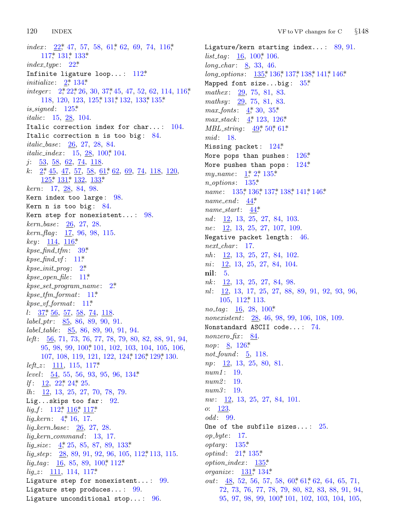120 **INDEX** 

*index*:  $22^*$ , 47, 57, 58, 61, 62, 69, 74, 116, 117, 131, 133\*  $index\_type: 22*$ Infinite ligature loop...: 112\* *initialize*:  $2^*$ , 134\* *integer*:  $2, 22, 26, 30, 37, 45, 47, 52, 62, 114, 116,$ 118, 120, 123, 125, 131, 132, 133, 135\* is\_signed:  $125^*$ *italic*: 15, 28, 104. Italic correction index for char...:  $104$ . Italic correction n is too big: 84. *italic\_base:* 26, 27, 28, 84. *italic\_index*:  $15, 28, 100, 104$  $j: \frac{53}{58}, \frac{58}{62}, \frac{62}{74}, \frac{118}{118}.$  $k: \quad 2^* \quad 45, \quad 47, \quad 57, \quad 58, \quad 61^* \quad 62, \quad 69, \quad 74, \quad 118, \quad 120,$  $125$ <sup>\*</sup>,  $131$ <sup>\*</sup>,  $132$ <sub>\*</sub>,  $133$ <sup>\*</sup>  $kern: 17, 28, 84, 98.$ Kern index too large:  $98$ . Kern n is too big:  $84$ . Kern step for nonexistent...:  $98$ .  $kern\_base: 26, 27, 28.$  $\textit{kern\_flag}: \quad \underline{17}, \, 96, \, 98, \, 115.$  $key: 114, 116*$  $kpc\_find\_tfm: 39*$  $kpc\_find\_vf$ : 11\*  $kpc\_init\_prog: 2^*$  $kpse\_open\_file: 11*$  $kpc\_set\_program\_name:$  2\*  $k$ pse\_tfm\_format: 11\*  $kpc\_vf\_format: 11*$  $l: \frac{37}{56}, \frac{57}{58}, \frac{58}{74}, \frac{74}{118}.$  $label\_ptr:35, 86, 89, 90, 91.$  $label_table:suble: 85, 86, 89, 90, 91, 94.$ *left*: 56, 71, 73, 76, 77, 78, 79, 80, 82, 88, 91, 94, 95, 98, 99, 100, 101, 102, 103, 104, 105, 106, 107, 108, 119, 121, 122, 124, 126, 129, 130.  $left\_z: \quad \underline{111}, \; 115, \; 117^*$ level:  $\frac{54}{54}$ , 55, 56, 93, 95, 96, 134\* If:  $12, 22, 24, 25$ .  $lh: \underline{12}, 13, 25, 27, 70, 78, 79.$ Lig...skips too far:  $92$ .  $lig-f: 112^*_{7} 116^*_{7} 117^*$  $lig\_kern: 4, 16, 17.$  $lig_{\text{}}\text{term}_{\text{}}base: 26, 27, 28.$  $liq\text{-}kern\text{-}command: 13, 17.$  $lig\_size: \underline{4}^*$ , 25, 85, 87, 89, 133\*  $lig\_step: \quad 28, 89, 91, 92, 96, 105, 112, 113, 115.$  $lig\_tag: 16, 85, 89, 100, 112.$  $lig\_z: \quad \underline{111}, \; 114, \; 117^*$ Ligature step for nonexistent...:  $99.$ Ligature step produces...:  $99.$ Ligature unconditional stop...:  $96$ .

Ligature/kern starting index...:  $89, 91$ . *list\_tag*:  $\underline{16}$ ,  $100$ <sup>\*</sup>, 106. *long\_char:*  $8, 33, 46$ . long\_options:  $135$ ,  $136$ ,  $137$ ,  $138$ ,  $141$ ,  $146$ Mapped font size...big:  $35^*$ mathex: 29, 75, 81, 83. mathsy: 29, 75, 81, 83. max\_fonts:  $4, 30, 35$ \*  $max\_stack: \frac{4}{3}, 123, 126^*$  $MBL_string: 49^*50^*61^*$ mid: 18. Missing packet:  $124$ <sup>\*</sup> More pops than pushes:  $126*$ More pushes than pops:  $124$ <sup>\*</sup> my\_name:  $1^*$ ,  $2^*$ ,  $135^*$  $n\_options: 135*$ *name*:  $135$ <sup>\*</sup>,  $136$ <sup>\*</sup>,  $137$ <sup>\*</sup>,  $138$ <sup>\*</sup>,  $141$ <sup>\*</sup>,  $146$ <sup>\*</sup>  $name\_end: \underline{44}^*$ name\_start:  $44^*$ nd:  $12, 13, 25, 27, 84, 103.$ *ne*:  $\frac{12}{13}$ ,  $\frac{13}{25}$ ,  $\frac{27}{107}$ ,  $\frac{109}{109}$ . Negative packet length: 46.  $next\_char: 17.$  $nh: 12, 13, 25, 27, 84, 102.$  $ni$ : 12, 13, 25, 27, 84, 104.  $\textbf{nil}: 5.$  $nk: \quad 12, 13, 25, 27, 84, 98.$  $nl: \underline{12}, 13, 17, 25, 27, 88, 89, 91, 92, 93, 96,$  $105, 112, 113.$ *no\_tag*:  $\underline{16}$ , 28, 100\* *nonexistent*: 28, 46, 98, 99, 106, 108, 109. Nonstandard ASCII code...: 74. *nonzero\_fix*:  $84$ . *nop*:  $8, 126$ <sup>\*</sup> not\_found:  $\underline{5}$ , 118.  $np: \underline{12}, 13, 25, 80, 81.$  $num1: 19.$ num2: 19.  $num3: 19.$  $nw: \underline{12}, 13, 25, 27, 84, 101.$  $o: 123.$ odd: 99. One of the subfile sizes...:  $25$ .  $op\_byte: 17.$  $optarg: 135^*$ *optind*:  $21^*$ ,  $135^*$  $option\_index: 135*$ *organize*:  $131^*$ ,  $134^*$ *out*:  $\frac{48}{52}$ , 52, 56, 57, 58, 60, 61, 62, 64, 65, 71, 72, 73, 76, 77, 78, 79, 80, 82, 83, 88, 91, 94, 95, 97, 98, 99, 100, 101, 102, 103, 104, 105,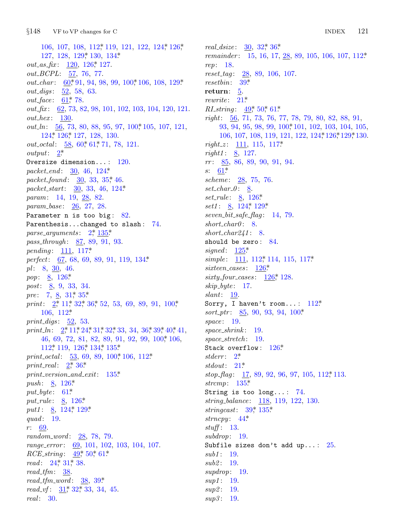$§148$ VF to VP changes for C

106, 107, 108, 112, 119, 121, 122, 124, 126, 127, 128, 129, 130, 134\* *out\_as\_fix*:  $120$ ,  $126$ ,  $127$ . out\_BCPL: 57, 76, 77. out\_char: 60,\*91, 94, 98, 99, 100,\*106, 108, 129\* *out\_digs*: 52, 58, 63. *out\_face*:  $61$ , 78.  $out\_fix$ : 62, 73, 82, 98, 101, 102, 103, 104, 120, 121.  $out\_hex:$  130. *out\_ln:* 56, 73, 80, 88, 95, 97, 100 $*$  105, 107, 121, 124\* 126\* 127, 128, 130.  $out\_octal: \underline{58}, 60, 61, 71, 78, 121.$  $output: \quad 2^*$ Oversize dimension...:  $120$ . packet\_end:  $\frac{30}{6}$ , 46, 124\* packet\_found: 30, 33, 35,\* 46. packet\_start:  $30, 33, 46, 124*$ param: 14, 19, 28, 82. param\_base: 26, 27, 28. Parameter  $n$  is too big:  $82$ . Parenthesis...changed to slash: 74. parse\_arguments:  $2, \frac{135}{5}$ *pass\_through:* 87, 89, 91, 93. *pending*:  $111, 117^*$ perfect:  $67, 68, 69, 89, 91, 119, 134*$  $pl: 8, 30, 46.$ *pop*:  $8, 126$ <sup>\*</sup> post: 8, 9, 33, 34. *pre*: 7, 8, 31, 35\* print:  $2^*$ , 11, 32, 36, 52, 53, 69, 89, 91, 100,  $106, 112$ <sup>\*</sup> print\_digs:  $\underline{52}$ , 53. print\_ln:  $2^*$ , 11,  $*$  24, 31, 32, 33, 34, 36, 39, 40, 41, 46, 69, 72, 81, 82, 89, 91, 92, 99, 100, 106,  $112$ <sup>\*</sup>,  $119$ ,  $126$ <sup>\*</sup>,  $134$ <sup>\*</sup>,  $135$ <sup>\*</sup> print\_octal:  $\frac{53}{69}$ , 89, 100, 106, 112\* print\_real:  $2^*$ , 36\*  $print\_version\_and\_exit: 135*$ *push*:  $8, 126$ <sup>\*</sup>  $put\_byte: 61*$ *put\_rule:* 8, 126\* put1:  $8, 124, 129$ \* quad: 19.  $r: 69.$  $random\_word: 28, 78, 79.$ range\_error: 69, 101, 102, 103, 104, 107. *RCE\_string*:  $49,50,61$ \* read: 24, 31, 38.  $read\_tfm: 38.$ read\_tfm\_word:  $38, 39^*$ *read\_vf*:  $31$ <sup>\*</sup>,  $32$ <sup>\*</sup>,  $33$ ,  $34$ ,  $45$ .  $real: 30.$ 

real\_dsize:  $30, 32, 36$ \* remainder: 15, 16, 17, 28, 89, 105, 106, 107, 112\* rep: 18. reset\_tag: 28, 89, 106, 107.  $resetbin: 39^*$ return:  $5.$ rewrite:  $21^*$ RI\_string:  $49^*$ ,  $50^*$ ,  $61^*$  $right: 56, 71, 73, 76, 77, 78, 79, 80, 82, 88, 91,$ 93, 94, 95, 98, 99, 100, 101, 102, 103, 104, 105, 106, 107, 108, 119, 121, 122, 124, 126, 129, 130. *right\_z*:  $111, 115, 117$ \* *right1*:  $8, 127$ .  $rr:$  85, 86, 89, 90, 91, 94.  $s: 61*$ scheme: 28, 75, 76.  $set\_char_0: \underline{8}.$ *set\_rule*:  $8, 126$ <sup>\*</sup> *set1*: 8, 124, 129\* seven\_bit\_safe\_flag:  $14, 79$ .  $short\_char0:8$ . short\_char241:  $8$ . should be zero: 84. signed:  $125^*$ simple:  $111, 112, 114, 115, 117$ sixteen\_cases:  $126^*$ sixty\_four\_cases:  $126$ ,\* 128.  $skip\_byte: 17.$  $slant: 19$ . Sorry, I haven't room...:  $112^*$  $sort_ptr$ : 85, 90, 93, 94, 100\*  $space: 19.$  $space\_shrink: 19$ .  $space\_stretch: 19.$ Stack overflow: 126\* stderr:  $2^*$ stdout:  $21^*$  $stop\_{flag}:$  17, 89, 92, 96, 97, 105, 112, 113. strcmp:  $135^*$ String is too  $long...: 74.$ string\_balance: 118, 119, 122, 130. stringcast:  $39^*$ , 135\* strncpy:  $44^*$  $stuff: 13.$  $subdrop: 19.$ Subfile sizes don't add up...:  $25$ .  $sub1: 19.$ *sub2*: 19.  $supdrop: 19.$  $sup1: 19.$  $sup2: 19.$  $sup3: 19.$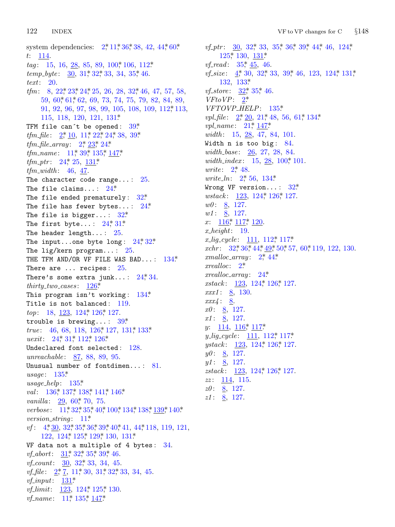122 **INDEX** 

system dependencies:  $2, 11, 36, 38, 42, 44, 60$ \*  $t: 114.$  $tag: 15, 16, 28, 85, 89, 100, 106, 112$  $temp\_byte:$  30, 31, 32, 33, 34, 35, 46.  $text: 20.$ *tfm*: 8, 22,  $\frac{4}{3}$ , 24, 25, 26, 28, 32, 46, 47, 57, 58, 59, 60, 61, 62, 69, 73, 74, 75, 79, 82, 84, 89,  $91, 92, 96, 97, 98, 99, 105, 108, 109, 112, 113,$ 115, 118, 120, 121, 131\* TFM file can't be opened:  $39^*$ *tfm\_file*:  $2, \underline{10}$ ,  $11, 22, 24, 38, 39$ \* *tfm\_file\_array*:  $2, \frac{23}{23}, 24$ *tfm\_name*:  $11^*39^*135^*147^*$ *tfm\_ptr*:  $24$ <sup>\*</sup>,  $25$ ,  $131$ <sup>\*</sup>  $tfm_width$ : 46, 47. The character code range...:  $25$ . The file claims...:  $24^*$ The file ended prematurely:  $32*$ The file has fewer bytes...:  $24^*$ The file is bigger...:  $32^*$ The first byte...:  $24^*31^*$ The header length...:  $25$ . The input...one byte long:  $24^*32^*$ The lig/kern program...:  $25$ . THE TFM AND/OR VF FILE WAS BAD...:  $134*$ There are  $\ldots$  recipes: 25. There's some extra junk...:  $24,34$ . thirty\_two\_cases:  $126^*$ This program isn't working: -134\* Title is not balanced: 119. top: 18, 123, 124, 126, 127. trouble is brewing...:  $39^*$ *true*: 46, 68, 118, 126, 127, 131, 133\* *uexit*:  $24^*31^*112^*126^*$ Undeclared font selected: 128. unreachable: 87, 88, 89, 95. Unusual number of fontdimen...:  $81$ . usage:  $135^*$  $usage\_help: 135*$ val:  $136$ <sup>\*</sup>,  $137$ <sup>\*</sup>,  $138$ <sup>\*</sup>,  $141$ <sup>\*</sup>,  $146$ <sup>\*</sup> *vanilla*: 29, 60<sup>\*</sup> 70, 75. verbose: 11,\*32,\*35,\*40,\*100,\*134,\*138,\*139,\*140\* *version\_string*:  $11^*$  $\textit{vf}:$  4,  $\frac{4}{30}$ , 32,  $\frac{4}{35}$ , 36, 39, 40, 41, 44, 118, 119, 121, 122, 124\* 125\* 129\* 130, 131\* VF data not a multiple of 4 bytes:  $34$ . *vf\_abort*:  $31$ <sup>\*</sup>,  $32$ <sup>\*</sup>,  $35$ <sup>\*</sup>,  $39$ <sup>\*</sup>,  $46$ . *vf\_count*:  $30, 32, 33, 34, 45$ . *vf\_file*:  $2, 7, 11, 30, 31, 32, 33, 34, 45.$ *vf\_input*:  $131^*$ *vf\_limit*:  $123, 124, 125, 130$ . *vf\_name*:  $11^*$ ,  $135^*$ ,  $147^*$ 

*vf\_ptr*:  $30, 32, 33, 35, 36, 39, 44, 46, 124,$  $125$ <sup>\*</sup>,  $130, 131$ <sup>\*</sup> *vf\_read*:  $35^*$ , 45, 46. *vf\_size*:  $4$ , 30, 32, 33, 39, 46, 123, 124, 131, 132, 133\* *vf\_store*:  $32$ <sup>\*</sup>,  $35$ <sup>\*</sup>, 46.  $VFto VP: 2^*$ VFTOVP\_HELP: 135\* *vpl\_file*:  $2, \, 20, \, 21, \, 48, \, 56, \, 61, \, 134.$ *vpl\_name*:  $21^*$ ,  $147^*$ width:  $15, 28, 47, 84, 101$ . Width  $n$  is too big:  $84$ .  $width\_base: 26, 27, 28, 84.$ width\_index:  $15, 28, 100, 101$ . *urite*:  $2^{*}$  48. *write\_ln:*  $2^*$  56, 134\* Wrong VF version...:  $32^*$ *wstack*:  $123, 124, 126, 127$ .  $w0: 8, 127.$  $w1: 8, 127.$  $x: \quad 116^* \quad 117^* \quad 120.$  $x \text{.} height: 19.$  $x_{\text{-}}\text{lig\_cycle}:$  111, 112, 117\* *xchr*:  $32^*$ ,  $36^*$ ,  $44^*$ ,  $49^*$ ,  $50^*$ ,  $57$ ,  $60^*$ ,  $119$ ,  $122$ ,  $130$ . xmalloc\_array:  $2^*$ , 44\*  $xrealloc: 2^*$  $xrealloc_array: 24^*$ *xstack*:  $123, 124, 126, 127.$  $xxx1: 8, 130.$  $xxx4: 8.$  $x0: 8, 127.$  $x1: \underline{8}, 127.$ y:  $114, 116^*$  117\* *y\_lig\_cycle*:  $111, 112, 117$ ystack:  $123, 124, 126, 127$ .  $y0: 8, 127.$  $y1: 8, 127.$  $zstack: 123, 124, 126, 127.$  $zz: 114, 115.$  $z0: 8, 127.$  $z1: 8, 127.$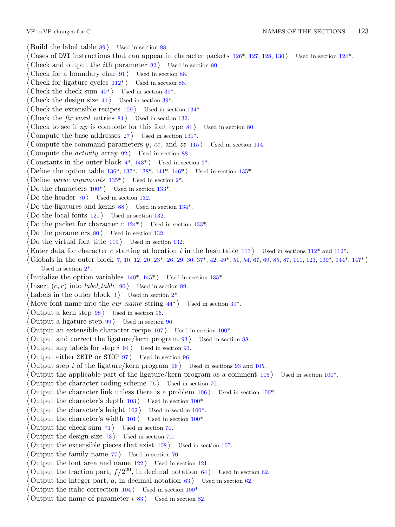- VF to VP changes for C NAMES OF THE SECTIONS 123 *⟨* Build the label table 89 *⟩* Used in section [88.](#page-6-0) *⟨* Cases of DVI instructions that can appear in cha[ract](#page-14-0)er packets 126\*, 127, 128, 130 *⟩* Used in section 124\*. *Check and output the <i>i*th parameter 82 *a* Used in section 80. *⟨* Check for a boundary char 91 *⟩* Used in section 88. *Check for ligature cycles*  $112^*$  *Vsed in section 8[8.](#page-14-0)* Check the check sum  $40^*$  *V* Used in section  $39^*$ . Check the design size  $41$  *\* Used in section  $39^*$ . *Check the extensible recipes*  $109$  $109$  *Vsed in section*  $134^*$ . *Check the fix word* entr[ies](#page-15-0) 84 *a* U[sed](#page-16-0) in [sec](#page-16-0)ti[on](#page-16-0) 132. *⟨* Check to see if *np* is co[mple](#page-15-0)te for this font ty[p](#page-1-0)e 81 *⟩* Used in section 80. *⟨* Compute the base [add](#page-9-0)resses 27 *⟩* Used [in s](#page-14-0)ection 131\*. *Compute the command parameters <i>y*, *cc*, and *zz* 115 *aught* Used in section 114. *⟨* Compute the *activity* array 92 *⟩* Used in section [88.](#page-14-0) Constants in the outer block  $4^*$ ,  $143^*$  Used in section  $2^*$ . *Define the option table 136\*, 1[37\\*,](#page-12-0) 138\*, 141\*, 146\* <i>Vsed in section 135\*. Define parse\_arguments*  $135^*$  Used in section  $2^*$ . Do the characters  $100^*$  Used in section 133<sup>\*</sup>. Do the header  $70$  Used in section 132. Do the ligatures and kerns  $88$  *\* Used i[n s](#page-3-0)ection 134<sup>\*</sup>. Do the local fon[ts](#page-1-0)  $121$  *\* Used in section 132. Do the packet for character  $c \frac{124^*}{8}$  [U](#page-16-0)sed in section 133<sup>\*</sup>. Do the parameters  $80$  Used in section 132. *⟨* Do the virtual font title 119 *⟩* Used in section [1](#page-1-0)32. Enter data for character *c* starting at loca[tio](#page-7-0)n *i* in the hash ta[ble](#page-6-0) 113 *a* Used in sections  $112^*$  and  $112^*$ . *⟨* Globals in the outer block 7, 10, 12, 20, 23\*, 26, 29, 30, 37\*, 42, 49\*, 51, 54, 67, 69, 85, 87, 111, 123, 139\*, 144\*, 147\* *⟩* Used in section 2\*. *⟨*Initialize the option variables 140\*, 145\* *⟩* Used in section 13[5\\*.](#page-9-0) Insert  $(c, r)$  into *label\_table* 90 *\* Used in section 89. Labels in the outer block  $3$  Used in section  $2^*$ . Move font name into the *cur name* string  $44^*$  *\* Used in section  $39^*$ . *⟨* Output a kern step 98 *⟩* Used in section 96. *⟨* Output a ligature step 99 *⟩* Used in section 96. *Output an extensible character recipe*  $107$  *<i>Vsed in section 100\*. ⟨* Output and correct the ligature/kern program 93 *⟩* Used in section 88. *⟨* Output any labels for step *i* 94 *⟩* Used in section 93[.](#page-9-0) *⟨* Output either SKIP or STOP 97 *⟩* Used in section 96. *⟨* Output step *i* of the ligature/kern program 96 *⟩* [Used](#page-9-0) in sections 93 and 105. *Output the applicable part of the ligature/kern program as a comment*  $105$  *<i>\* Used in section  $100^*$ . *⟨* Output the character coding scheme 76 *⟩* Used in section 70. *Output the character link unless there is a problem*  $106$  *<i>\* Used in section  $100^*$ . *⟨* Output the character's depth 103 *⟩* Used in section 100\*. *⟨* Output the character's height 102 *⟩* Used in section 100\*. *⟨* Output the character's width 101 *⟩* Used in section 100\*. *⟨* Output the check sum 71 *⟩* Used in section 70. *⟨* Output the design size 73 *⟩* Used in section 70. *⟨* Output the extensible pieces that exist 108 *⟩* Used in section 107. *⟨* Output the family name 77 *⟩* Used in section 70. *⟨* Output the font area and name 122 *⟩* Used in section 121.  $\langle$  Output the fraction part,  $f/2^{20}$ , in decimal notation 64) Used in section 62. Output the integer part,  $a$ , in decimal notation  $63$  *\* Used in section  $62$ .
	- *⟨* Output the italic correction 104 *⟩* Used in section 100\*.
	- *⟨* Output the name of parameter *i* 83 *⟩* Used in section 82.